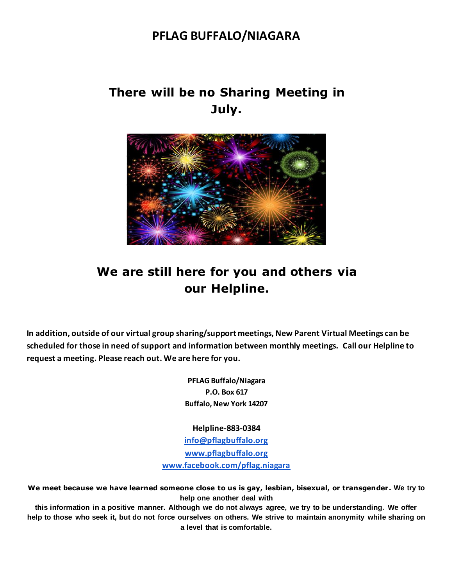### **PFLAG BUFFALO/NIAGARA**

# **There will be no Sharing Meeting in July.**



## **We are still here for you and others via our Helpline.**

**In addition, outside of our virtual group sharing/support meetings, New Parent Virtual Meetings can be scheduled for those in need of support and information between monthly meetings. Call our Helpline to request a meeting. Please reach out. We are here for you.**

> **PFLAG Buffalo/Niagara P.O. Box 617 Buffalo, New York 14207**

**Helpline-883-0384 [info@pflagbuffalo.org](mailto:info@pflagbuffalo.org) [www.pflagbuffalo.org](http://www.pflagbuffalo.org/) [www.facebook.com/pflag.niagara](http://www.facebook.com/pflag.niagara)**

**We meet because we have learned someone close to us is gay, lesbian, bisexual, or transgender. We try to help one another deal with** 

**this information in a positive manner. Although we do not always agree, we try to be understanding. We offer help to those who seek it, but do not force ourselves on others. We strive to maintain anonymity while sharing on a level that is comfortable.**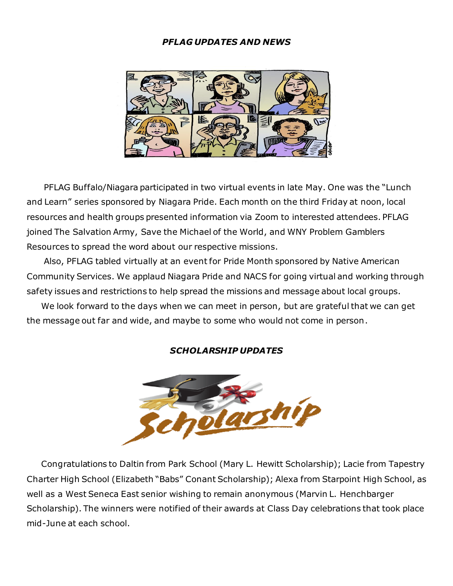### *PFLAG UPDATES AND NEWS*



 PFLAG Buffalo/Niagara participated in two virtual events in late May. One was the "Lunch and Learn" series sponsored by Niagara Pride. Each month on the third Friday at noon, local resources and health groups presented information via Zoom to interested attendees. PFLAG joined The Salvation Army, Save the Michael of the World, and WNY Problem Gamblers Resources to spread the word about our respective missions.

 Also, PFLAG tabled virtually at an event for Pride Month sponsored by Native American Community Services. We applaud Niagara Pride and NACS for going virtual and working through safety issues and restrictions to help spread the missions and message about local groups.

 We look forward to the days when we can meet in person, but are grateful that we can get the message out far and wide, and maybe to some who would not come in person.

#### *SCHOLARSHIP UPDATES*



 Congratulations to Daltin from Park School (Mary L. Hewitt Scholarship); Lacie from Tapestry Charter High School (Elizabeth "Babs" Conant Scholarship); Alexa from Starpoint High School, as well as a West Seneca East senior wishing to remain anonymous (Marvin L. Henchbarger Scholarship). The winners were notified of their awards at Class Day celebrations that took place mid-June at each school.